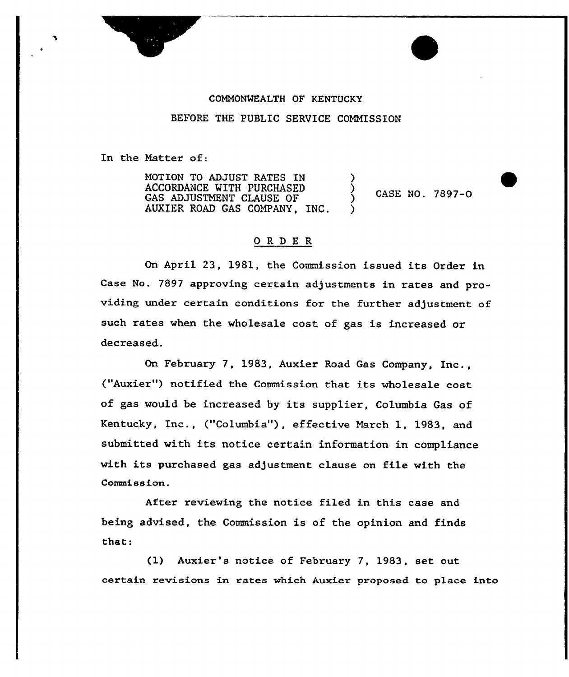

## COMMONWEALTH OF KENTUCKY

BEFORE THE PUBLIC SERVICE COMMISSION

In the Matter of:

MOTION TO ADJUST RATES IN ACCORDANCE WITH PURCHASED GAS ADJUSTMENT CLAUSE OF AUXIER ROAD GAS COMPANY, INC. ) )

CASE NO. 7897-0 )

### ORDE <sup>R</sup>

On April 23, 1981, the Commission issued its Order in Case No. 7897 appxoving cextain adjustments in rates and providing under certain conditions for the further adjustment of such rates when the wholesale cost of gas is increased or decreased.

On February 7, 1983, Auxier Road Gas Company, Inc., ("Auxier") notified the Commission that its wholesale cost of gas would be increased by its supplier, Columbia Gas of Kentucky, Inc., ("Columbia"), effective March 1, 1983, and submitted with its notice certain information in compliance with its purchased gas adjustment clause on file with the Commission.

Aftex reviewing the notice filed in this case and being advised, the Commission is of the opinion and finds that:

(1) Auxier's notice of February 7, 1983, set out certain revisions in xates which Auxier proposed to place into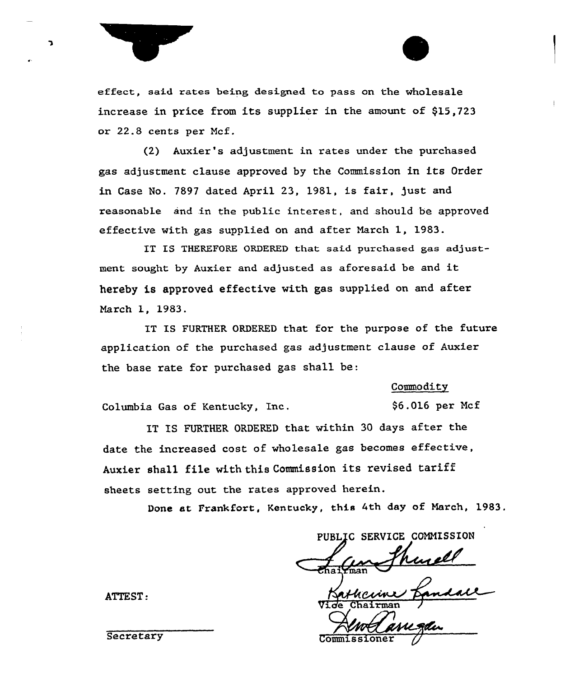

effect, said rates being designed to pass on the wholesale increase in price from its supplier in the amount of \$15,723 or 22.8 cents per Mcf.

(2) Auxier's adjustment in rates under the purchased gas adjustment clause approved by the Commission in its Order in Case No. 7897 dated April 23, 1981, is fair, just and reasonable and in the public interest, and should be approved effective with gas supplied on and after March 1, 1983.

IT IS THEREFORE ORDERED that said purchased gas adjustment sought by Auxier and adjusted as aforesaid be and it hereby is approved effective with gas supplied on and after March 1, 1983.

IT IS FURTHER ORDERED that for the purpose of the future application of the purchased gas adjustment clause of Auxier the base rate for purchased gas shall be:

#### Commodity

\$6.016 per Mcf

Columbia Gas of Kentucky, Inc.

IT ES FURTHER ORDERED that within 30 days after the date the increased cost of wholesale gas becomes effective, Auxier shall file with this Commission its revised tariff sheets setting out the rates approved herein.

Done at Frankfort, Kentucky, this 4th day of March, 1983.

PUBLIC SERVICE COMMISSION  $\mathcal{L}_{\mathcal{L}}$ a i Ymai

Vide Chairman J

ATTEST:

Secretary